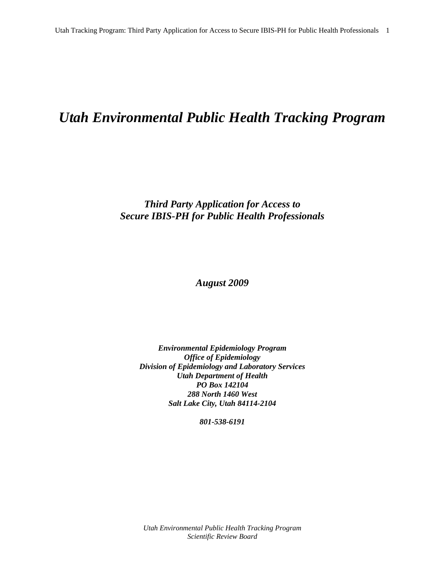# *Utah Environmental Public Health Tracking Program*

# *Third Party Application for Access to Secure IBIS-PH for Public Health Professionals*

*August 2009* 

*Environmental Epidemiology Program Office of Epidemiology Division of Epidemiology and Laboratory Services Utah Department of Health PO Box 142104 288 North 1460 West Salt Lake City, Utah 84114-2104* 

*801-538-6191*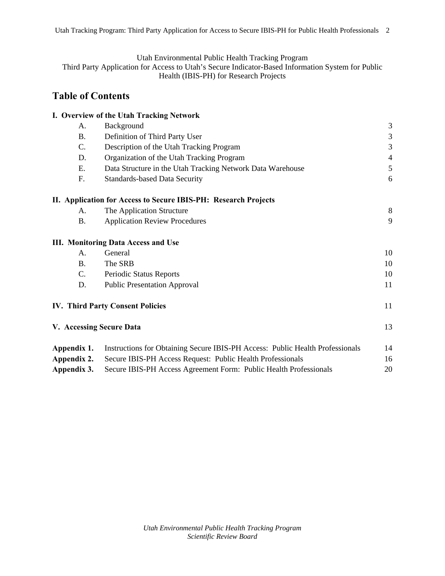Utah Environmental Public Health Tracking Program

Third Party Application for Access to Utah's Secure Indicator-Based Information System for Public Health (IBIS-PH) for Research Projects

# **Table of Contents**

|                          | I. Overview of the Utah Tracking Network                                      |                |
|--------------------------|-------------------------------------------------------------------------------|----------------|
| A.                       | Background                                                                    | 3              |
| <b>B.</b>                | Definition of Third Party User                                                | $\mathfrak{Z}$ |
| C.                       | Description of the Utah Tracking Program                                      | 3              |
| D.                       | Organization of the Utah Tracking Program                                     | $\overline{4}$ |
| Е.                       | Data Structure in the Utah Tracking Network Data Warehouse                    | 5              |
| F.                       | <b>Standards-based Data Security</b>                                          | 6              |
|                          | II. Application for Access to Secure IBIS-PH: Research Projects               |                |
| A.                       | The Application Structure                                                     | 8              |
| <b>B.</b>                | <b>Application Review Procedures</b>                                          | 9              |
|                          | <b>III. Monitoring Data Access and Use</b>                                    |                |
| A.                       | General                                                                       | 10             |
| <b>B.</b>                | The SRB                                                                       | 10             |
| C.                       | Periodic Status Reports                                                       | 10             |
| D.                       | <b>Public Presentation Approval</b>                                           | 11             |
|                          | <b>IV. Third Party Consent Policies</b>                                       | 11             |
| V. Accessing Secure Data |                                                                               | 13             |
| Appendix 1.              | Instructions for Obtaining Secure IBIS-PH Access: Public Health Professionals | 14             |
| Appendix 2.              | Secure IBIS-PH Access Request: Public Health Professionals                    | 16             |
| Appendix 3.              | Secure IBIS-PH Access Agreement Form: Public Health Professionals             | 20             |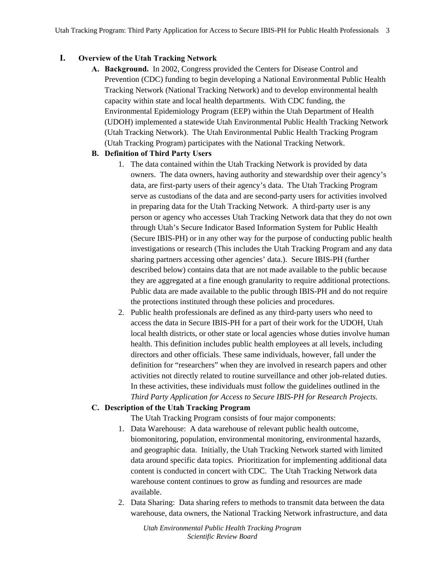# **I. Overview of the Utah Tracking Network**

**A. Background.** In 2002, Congress provided the Centers for Disease Control and Prevention (CDC) funding to begin developing a National Environmental Public Health Tracking Network (National Tracking Network) and to develop environmental health capacity within state and local health departments. With CDC funding, the Environmental Epidemiology Program (EEP) within the Utah Department of Health (UDOH) implemented a statewide Utah Environmental Public Health Tracking Network (Utah Tracking Network). The Utah Environmental Public Health Tracking Program (Utah Tracking Program) participates with the National Tracking Network.

# **B. Definition of Third Party Users**

- 1. The data contained within the Utah Tracking Network is provided by data owners. The data owners, having authority and stewardship over their agency's data, are first-party users of their agency's data. The Utah Tracking Program serve as custodians of the data and are second-party users for activities involved in preparing data for the Utah Tracking Network. A third-party user is any person or agency who accesses Utah Tracking Network data that they do not own through Utah's Secure Indicator Based Information System for Public Health (Secure IBIS-PH) or in any other way for the purpose of conducting public health investigations or research (This includes the Utah Tracking Program and any data sharing partners accessing other agencies' data.). Secure IBIS-PH (further described below) contains data that are not made available to the public because they are aggregated at a fine enough granularity to require additional protections. Public data are made available to the public through IBIS-PH and do not require the protections instituted through these policies and procedures.
- 2. Public health professionals are defined as any third-party users who need to access the data in Secure IBIS-PH for a part of their work for the UDOH, Utah local health districts, or other state or local agencies whose duties involve human health. This definition includes public health employees at all levels, including directors and other officials. These same individuals, however, fall under the definition for "researchers" when they are involved in research papers and other activities not directly related to routine surveillance and other job-related duties. In these activities, these individuals must follow the guidelines outlined in the *Third Party Application for Access to Secure IBIS-PH for Research Projects.*

# **C. Description of the Utah Tracking Program**

The Utah Tracking Program consists of four major components:

- 1. Data Warehouse: A data warehouse of relevant public health outcome, biomonitoring, population, environmental monitoring, environmental hazards, and geographic data. Initially, the Utah Tracking Network started with limited data around specific data topics. Prioritization for implementing additional data content is conducted in concert with CDC. The Utah Tracking Network data warehouse content continues to grow as funding and resources are made available.
- 2. Data Sharing: Data sharing refers to methods to transmit data between the data warehouse, data owners, the National Tracking Network infrastructure, and data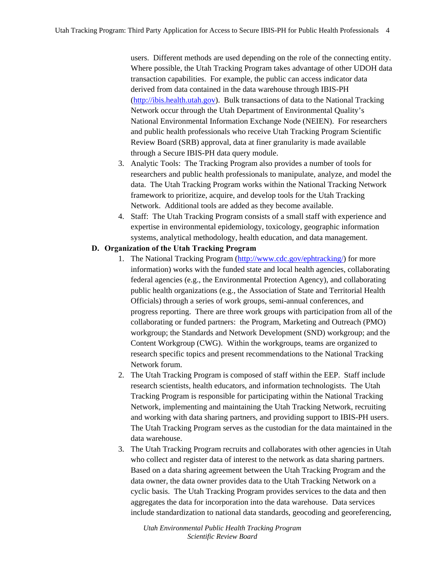users. Different methods are used depending on the role of the connecting entity. Where possible, the Utah Tracking Program takes advantage of other UDOH data transaction capabilities. For example, the public can access indicator data derived from data contained in the data warehouse through IBIS-PH (http://ibis.health.utah.gov). Bulk transactions of data to the National Tracking Network occur through the Utah Department of Environmental Quality's National Environmental Information Exchange Node (NEIEN). For researchers and public health professionals who receive Utah Tracking Program Scientific Review Board (SRB) approval, data at finer granularity is made available through a Secure IBIS-PH data query module.

- 3. Analytic Tools: The Tracking Program also provides a number of tools for researchers and public health professionals to manipulate, analyze, and model the data. The Utah Tracking Program works within the National Tracking Network framework to prioritize, acquire, and develop tools for the Utah Tracking Network. Additional tools are added as they become available.
- 4. Staff: The Utah Tracking Program consists of a small staff with experience and expertise in environmental epidemiology, toxicology, geographic information systems, analytical methodology, health education, and data management.

#### **D. Organization of the Utah Tracking Program**

- 1. The National Tracking Program (http://www.cdc.gov/ephtracking/) for more information) works with the funded state and local health agencies, collaborating federal agencies (e.g., the Environmental Protection Agency), and collaborating public health organizations (e.g., the Association of State and Territorial Health Officials) through a series of work groups, semi-annual conferences, and progress reporting. There are three work groups with participation from all of the collaborating or funded partners: the Program, Marketing and Outreach (PMO) workgroup; the Standards and Network Development (SND) workgroup; and the Content Workgroup (CWG). Within the workgroups, teams are organized to research specific topics and present recommendations to the National Tracking Network forum.
- 2. The Utah Tracking Program is composed of staff within the EEP. Staff include research scientists, health educators, and information technologists. The Utah Tracking Program is responsible for participating within the National Tracking Network, implementing and maintaining the Utah Tracking Network, recruiting and working with data sharing partners, and providing support to IBIS-PH users. The Utah Tracking Program serves as the custodian for the data maintained in the data warehouse.
- 3. The Utah Tracking Program recruits and collaborates with other agencies in Utah who collect and register data of interest to the network as data sharing partners. Based on a data sharing agreement between the Utah Tracking Program and the data owner, the data owner provides data to the Utah Tracking Network on a cyclic basis. The Utah Tracking Program provides services to the data and then aggregates the data for incorporation into the data warehouse. Data services include standardization to national data standards, geocoding and georeferencing,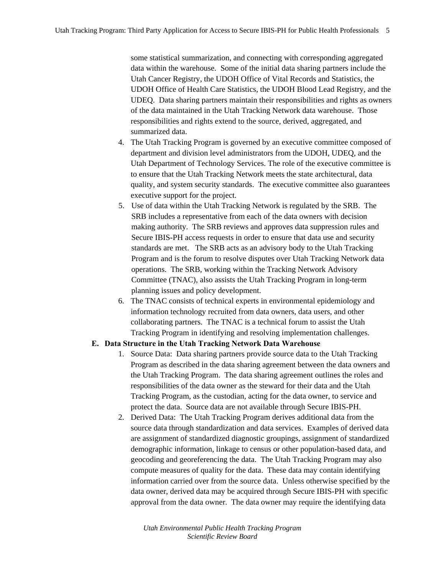some statistical summarization, and connecting with corresponding aggregated data within the warehouse. Some of the initial data sharing partners include the Utah Cancer Registry, the UDOH Office of Vital Records and Statistics, the UDOH Office of Health Care Statistics, the UDOH Blood Lead Registry, and the UDEQ. Data sharing partners maintain their responsibilities and rights as owners of the data maintained in the Utah Tracking Network data warehouse. Those responsibilities and rights extend to the source, derived, aggregated, and summarized data.

- 4. The Utah Tracking Program is governed by an executive committee composed of department and division level administrators from the UDOH, UDEQ, and the Utah Department of Technology Services. The role of the executive committee is to ensure that the Utah Tracking Network meets the state architectural, data quality, and system security standards. The executive committee also guarantees executive support for the project.
- 5. Use of data within the Utah Tracking Network is regulated by the SRB. The SRB includes a representative from each of the data owners with decision making authority. The SRB reviews and approves data suppression rules and Secure IBIS-PH access requests in order to ensure that data use and security standards are met. The SRB acts as an advisory body to the Utah Tracking Program and is the forum to resolve disputes over Utah Tracking Network data operations. The SRB, working within the Tracking Network Advisory Committee (TNAC), also assists the Utah Tracking Program in long-term planning issues and policy development.
- 6. The TNAC consists of technical experts in environmental epidemiology and information technology recruited from data owners, data users, and other collaborating partners. The TNAC is a technical forum to assist the Utah Tracking Program in identifying and resolving implementation challenges.

#### **E. Data Structure in the Utah Tracking Network Data Warehouse**

- 1. Source Data: Data sharing partners provide source data to the Utah Tracking Program as described in the data sharing agreement between the data owners and the Utah Tracking Program. The data sharing agreement outlines the roles and responsibilities of the data owner as the steward for their data and the Utah Tracking Program, as the custodian, acting for the data owner, to service and protect the data. Source data are not available through Secure IBIS-PH.
- 2. Derived Data: The Utah Tracking Program derives additional data from the source data through standardization and data services. Examples of derived data are assignment of standardized diagnostic groupings, assignment of standardized demographic information, linkage to census or other population-based data, and geocoding and georeferencing the data. The Utah Tracking Program may also compute measures of quality for the data. These data may contain identifying information carried over from the source data. Unless otherwise specified by the data owner, derived data may be acquired through Secure IBIS-PH with specific approval from the data owner. The data owner may require the identifying data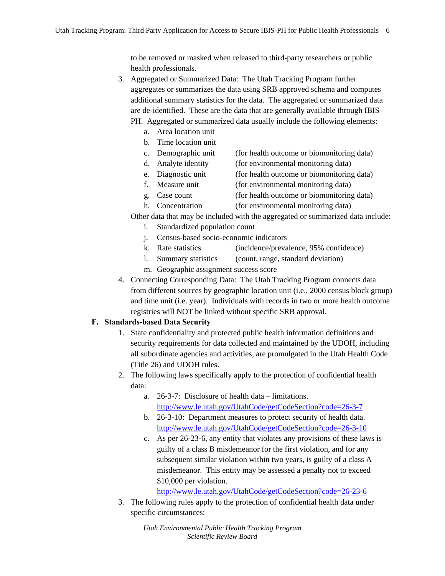to be removed or masked when released to third-party researchers or public health professionals.

- 3. Aggregated or Summarized Data: The Utah Tracking Program further aggregates or summarizes the data using SRB approved schema and computes additional summary statistics for the data. The aggregated or summarized data are de-identified. These are the data that are generally available through IBIS-PH. Aggregated or summarized data usually include the following elements:
	- a. Area location unit
	- b. Time location unit
	- c. Demographic unit (for health outcome or biomonitoring data)
	- d. Analyte identity (for environmental monitoring data)
	- e. Diagnostic unit (for health outcome or biomonitoring data)
	- f. Measure unit (for environmental monitoring data)
	- g. Case count (for health outcome or biomonitoring data)
	- h. Concentration (for environmental monitoring data)

Other data that may be included with the aggregated or summarized data include:

- i. Standardized population count
- j. Census-based socio-economic indicators
- k. Rate statistics (incidence/prevalence, 95% confidence)
- l. Summary statistics (count, range, standard deviation)
- m. Geographic assignment success score
- 4. Connecting Corresponding Data: The Utah Tracking Program connects data from different sources by geographic location unit (i.e., 2000 census block group) and time unit (i.e. year). Individuals with records in two or more health outcome registries will NOT be linked without specific SRB approval.

# **F. Standards-based Data Security**

- 1. State confidentiality and protected public health information definitions and security requirements for data collected and maintained by the UDOH, including all subordinate agencies and activities, are promulgated in the Utah Health Code (Title 26) and UDOH rules.
- 2. The following laws specifically apply to the protection of confidential health data:
	- a. 26-3-7: Disclosure of health data limitations. http://www.le.utah.gov/UtahCode/getCodeSection?code=26-3-7
	- b. 26-3-10: Department measures to protect security of health data. http://www.le.utah.gov/UtahCode/getCodeSection?code=26-3-10
	- c. As per 26-23-6, any entity that violates any provisions of these laws is guilty of a class B misdemeanor for the first violation, and for any subsequent similar violation within two years, is guilty of a class A misdemeanor. This entity may be assessed a penalty not to exceed \$10,000 per violation.

http://www.le.utah.gov/UtahCode/getCodeSection?code=26-23-6

3. The following rules apply to the protection of confidential health data under specific circumstances: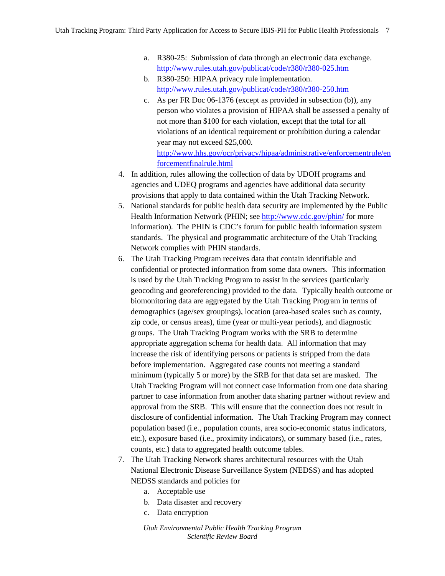- a. R380-25: Submission of data through an electronic data exchange. http://www.rules.utah.gov/publicat/code/r380/r380-025.htm
- b. R380-250: HIPAA privacy rule implementation. http://www.rules.utah.gov/publicat/code/r380/r380-250.htm
- c. As per FR Doc 06-1376 (except as provided in subsection (b)), any person who violates a provision of HIPAA shall be assessed a penalty of not more than \$100 for each violation, except that the total for all violations of an identical requirement or prohibition during a calendar year may not exceed \$25,000. http://www.hhs.gov/ocr/privacy/hipaa/administrative/enforcementrule/en

forcementfinalrule.html

- 4. In addition, rules allowing the collection of data by UDOH programs and agencies and UDEQ programs and agencies have additional data security provisions that apply to data contained within the Utah Tracking Network.
- 5. National standards for public health data security are implemented by the Public Health Information Network (PHIN; see http://www.cdc.gov/phin/ for more information). The PHIN is CDC's forum for public health information system standards. The physical and programmatic architecture of the Utah Tracking Network complies with PHIN standards.
- 6. The Utah Tracking Program receives data that contain identifiable and confidential or protected information from some data owners. This information is used by the Utah Tracking Program to assist in the services (particularly geocoding and georeferencing) provided to the data. Typically health outcome or biomonitoring data are aggregated by the Utah Tracking Program in terms of demographics (age/sex groupings), location (area-based scales such as county, zip code, or census areas), time (year or multi-year periods), and diagnostic groups. The Utah Tracking Program works with the SRB to determine appropriate aggregation schema for health data. All information that may increase the risk of identifying persons or patients is stripped from the data before implementation. Aggregated case counts not meeting a standard minimum (typically 5 or more) by the SRB for that data set are masked. The Utah Tracking Program will not connect case information from one data sharing partner to case information from another data sharing partner without review and approval from the SRB. This will ensure that the connection does not result in disclosure of confidential information. The Utah Tracking Program may connect population based (i.e., population counts, area socio-economic status indicators, etc.), exposure based (i.e., proximity indicators), or summary based (i.e., rates, counts, etc.) data to aggregated health outcome tables.
- 7. The Utah Tracking Network shares architectural resources with the Utah National Electronic Disease Surveillance System (NEDSS) and has adopted NEDSS standards and policies for
	- a. Acceptable use
	- b. Data disaster and recovery
	- c. Data encryption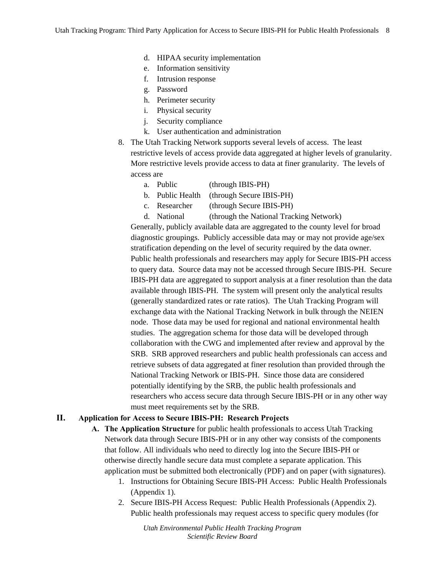- d. HIPAA security implementation
- e. Information sensitivity
- f. Intrusion response
- g. Password
- h. Perimeter security
- i. Physical security
- j. Security compliance
- k. User authentication and administration
- 8. The Utah Tracking Network supports several levels of access. The least restrictive levels of access provide data aggregated at higher levels of granularity. More restrictive levels provide access to data at finer granularity. The levels of access are
	- a. Public (through IBIS-PH)
	- b. Public Health (through Secure IBIS-PH)
	- c. Researcher (through Secure IBIS-PH)

d. National (through the National Tracking Network)

Generally, publicly available data are aggregated to the county level for broad diagnostic groupings. Publicly accessible data may or may not provide age/sex stratification depending on the level of security required by the data owner. Public health professionals and researchers may apply for Secure IBIS-PH access to query data. Source data may not be accessed through Secure IBIS-PH. Secure IBIS-PH data are aggregated to support analysis at a finer resolution than the data available through IBIS-PH. The system will present only the analytical results (generally standardized rates or rate ratios). The Utah Tracking Program will exchange data with the National Tracking Network in bulk through the NEIEN node. Those data may be used for regional and national environmental health studies. The aggregation schema for those data will be developed through collaboration with the CWG and implemented after review and approval by the SRB. SRB approved researchers and public health professionals can access and retrieve subsets of data aggregated at finer resolution than provided through the National Tracking Network or IBIS-PH. Since those data are considered potentially identifying by the SRB, the public health professionals and researchers who access secure data through Secure IBIS-PH or in any other way must meet requirements set by the SRB.

#### **II. Application for Access to Secure IBIS-PH: Research Projects**

- **A. The Application Structure** for public health professionals to access Utah Tracking Network data through Secure IBIS-PH or in any other way consists of the components that follow. All individuals who need to directly log into the Secure IBIS-PH or otherwise directly handle secure data must complete a separate application. This application must be submitted both electronically (PDF) and on paper (with signatures).
	- 1. Instructions for Obtaining Secure IBIS-PH Access: Public Health Professionals (Appendix 1).
	- 2. Secure IBIS-PH Access Request: Public Health Professionals (Appendix 2). Public health professionals may request access to specific query modules (for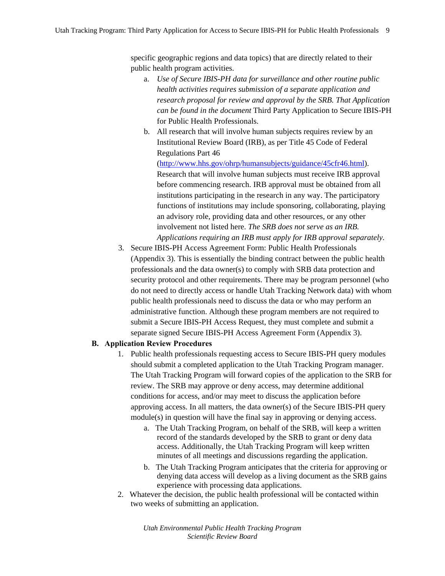specific geographic regions and data topics) that are directly related to their public health program activities.

- a. *Use of Secure IBIS-PH data for surveillance and other routine public health activities requires submission of a separate application and research proposal for review and approval by the SRB. That Application can be found in the document* Third Party Application to Secure IBIS-PH for Public Health Professionals.
- b. All research that will involve human subjects requires review by an Institutional Review Board (IRB), as per Title 45 Code of Federal Regulations Part 46

(http://www.hhs.gov/ohrp/humansubjects/guidance/45cfr46.html). Research that will involve human subjects must receive IRB approval before commencing research. IRB approval must be obtained from all institutions participating in the research in any way. The participatory functions of institutions may include sponsoring, collaborating, playing an advisory role, providing data and other resources, or any other involvement not listed here. *The SRB does not serve as an IRB. Applications requiring an IRB must apply for IRB approval separately.* 

3. Secure IBIS-PH Access Agreement Form: Public Health Professionals (Appendix 3). This is essentially the binding contract between the public health professionals and the data owner(s) to comply with SRB data protection and security protocol and other requirements. There may be program personnel (who do not need to directly access or handle Utah Tracking Network data) with whom public health professionals need to discuss the data or who may perform an administrative function. Although these program members are not required to submit a Secure IBIS-PH Access Request, they must complete and submit a separate signed Secure IBIS-PH Access Agreement Form (Appendix 3).

#### **B. Application Review Procedures**

- 1. Public health professionals requesting access to Secure IBIS-PH query modules should submit a completed application to the Utah Tracking Program manager. The Utah Tracking Program will forward copies of the application to the SRB for review. The SRB may approve or deny access, may determine additional conditions for access, and/or may meet to discuss the application before approving access. In all matters, the data owner(s) of the Secure IBIS-PH query module(s) in question will have the final say in approving or denying access.
	- a. The Utah Tracking Program, on behalf of the SRB, will keep a written record of the standards developed by the SRB to grant or deny data access. Additionally, the Utah Tracking Program will keep written minutes of all meetings and discussions regarding the application.
	- b. The Utah Tracking Program anticipates that the criteria for approving or denying data access will develop as a living document as the SRB gains experience with processing data applications.
- 2. Whatever the decision, the public health professional will be contacted within two weeks of submitting an application.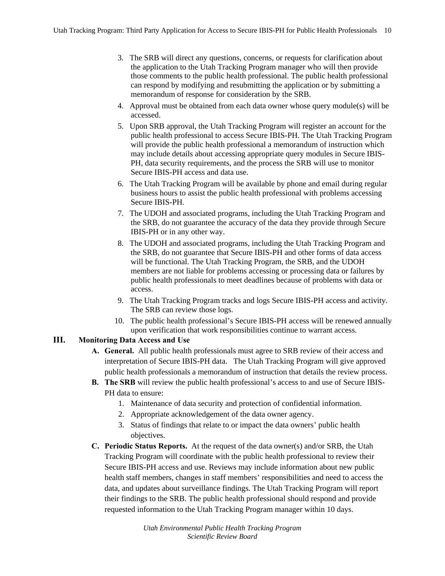- 3. The SRB will direct any questions, concerns, or requests for clarification about the application to the Utah Tracking Program manager who will then provide those comments to the public health professional. The public health professional can respond by modifying and resubmitting the application or by submitting a memorandum of response for consideration by the SRB.
- 4. Approval must be obtained from each data owner whose query module(s) will be accessed.
- 5. Upon SRB approval, the Utah Tracking Program will register an account for the public health professional to access Secure IBIS-PH. The Utah Tracking Program will provide the public health professional a memorandum of instruction which may include details about accessing appropriate query modules in Secure IBIS-PH, data security requirements, and the process the SRB will use to monitor Secure IBIS-PH access and data use.
- 6. The Utah Tracking Program will be available by phone and email during regular business hours to assist the public health professional with problems accessing Secure IBIS-PH.
- 7. The UDOH and associated programs, including the Utah Tracking Program and the SRB, do not guarantee the accuracy of the data they provide through Secure IBIS-PH or in any other way.
- 8. The UDOH and associated programs, including the Utah Tracking Program and the SRB, do not guarantee that Secure IBIS-PH and other forms of data access will be functional. The Utah Tracking Program, the SRB, and the UDOH members are not liable for problems accessing or processing data or failures by public health professionals to meet deadlines because of problems with data or access.
- 9. The Utah Tracking Program tracks and logs Secure IBIS-PH access and activity. The SRB can review those logs.
- 10. The public health professional's Secure IBIS-PH access will be renewed annually upon verification that work responsibilities continue to warrant access.

# **III. Monitoring Data Access and Use**

- **A. General.** All public health professionals must agree to SRB review of their access and interpretation of Secure IBIS-PH data. The Utah Tracking Program will give approved public health professionals a memorandum of instruction that details the review process.
- **B. The SRB** will review the public health professional's access to and use of Secure IBIS-PH data to ensure:
	- 1. Maintenance of data security and protection of confidential information.
	- 2. Appropriate acknowledgement of the data owner agency.
	- 3. Status of findings that relate to or impact the data owners' public health objectives.
- **C. Periodic Status Reports.** At the request of the data owner(s) and/or SRB, the Utah Tracking Program will coordinate with the public health professional to review their Secure IBIS-PH access and use. Reviews may include information about new public health staff members, changes in staff members' responsibilities and need to access the data, and updates about surveillance findings. The Utah Tracking Program will report their findings to the SRB. The public health professional should respond and provide requested information to the Utah Tracking Program manager within 10 days.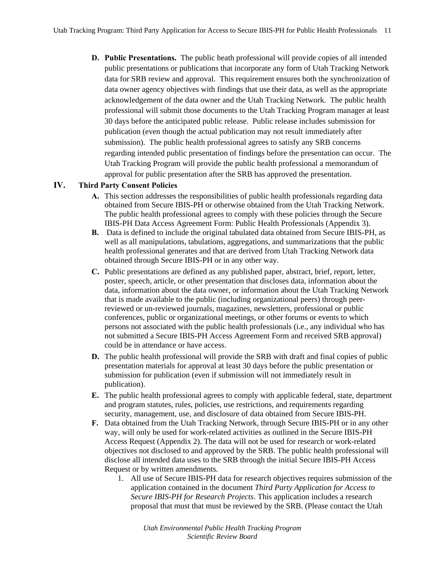**D. Public Presentations.** The public heath professional will provide copies of all intended public presentations or publications that incorporate any form of Utah Tracking Network data for SRB review and approval. This requirement ensures both the synchronization of data owner agency objectives with findings that use their data, as well as the appropriate acknowledgement of the data owner and the Utah Tracking Network. The public health professional will submit those documents to the Utah Tracking Program manager at least 30 days before the anticipated public release. Public release includes submission for publication (even though the actual publication may not result immediately after submission). The public health professional agrees to satisfy any SRB concerns regarding intended public presentation of findings before the presentation can occur. The Utah Tracking Program will provide the public health professional a memorandum of approval for public presentation after the SRB has approved the presentation.

# **IV. Third Party Consent Policies**

- **A.** This section addresses the responsibilities of public health professionals regarding data obtained from Secure IBIS-PH or otherwise obtained from the Utah Tracking Network. The public health professional agrees to comply with these policies through the Secure IBIS-PH Data Access Agreement Form: Public Health Professionals (Appendix 3).
- **B.** Data is defined to include the original tabulated data obtained from Secure IBIS-PH, as well as all manipulations, tabulations, aggregations, and summarizations that the public health professional generates and that are derived from Utah Tracking Network data obtained through Secure IBIS-PH or in any other way.
- **C.** Public presentations are defined as any published paper, abstract, brief, report, letter, poster, speech, article, or other presentation that discloses data, information about the data, information about the data owner, or information about the Utah Tracking Network that is made available to the public (including organizational peers) through peerreviewed or un-reviewed journals, magazines, newsletters, professional or public conferences, public or organizational meetings, or other forums or events to which persons not associated with the public health professionals (i.e., any individual who has not submitted a Secure IBIS-PH Access Agreement Form and received SRB approval) could be in attendance or have access.
- **D.** The public health professional will provide the SRB with draft and final copies of public presentation materials for approval at least 30 days before the public presentation or submission for publication (even if submission will not immediately result in publication).
- **E.** The public health professional agrees to comply with applicable federal, state, department and program statutes, rules, policies, use restrictions, and requirements regarding security, management, use, and disclosure of data obtained from Secure IBIS-PH.
- **F.** Data obtained from the Utah Tracking Network, through Secure IBIS-PH or in any other way, will only be used for work-related activities as outlined in the Secure IBIS-PH Access Request (Appendix 2). The data will not be used for research or work-related objectives not disclosed to and approved by the SRB. The public health professional will disclose all intended data uses to the SRB through the initial Secure IBIS-PH Access Request or by written amendments.
	- 1. All use of Secure IBIS-PH data for research objectives requires submission of the application contained in the document *Third Party Application for Access to Secure IBIS-PH for Research Projects*. This application includes a research proposal that must that must be reviewed by the SRB. (Please contact the Utah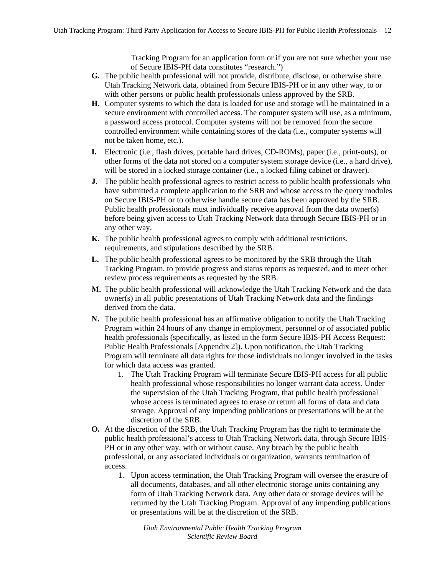Tracking Program for an application form or if you are not sure whether your use of Secure IBIS-PH data constitutes "research.")

- **G.** The public health professional will not provide, distribute, disclose, or otherwise share Utah Tracking Network data, obtained from Secure IBIS-PH or in any other way, to or with other persons or public health professionals unless approved by the SRB.
- **H.** Computer systems to which the data is loaded for use and storage will be maintained in a secure environment with controlled access. The computer system will use, as a minimum, a password access protocol. Computer systems will not be removed from the secure controlled environment while containing stores of the data (i.e., computer systems will not be taken home, etc.).
- **I.** Electronic (i.e., flash drives, portable hard drives, CD-ROMs), paper (i.e., print-outs), or other forms of the data not stored on a computer system storage device (i.e., a hard drive), will be stored in a locked storage container (i.e., a locked filing cabinet or drawer).
- **J.** The public health professional agrees to restrict access to public health professionals who have submitted a complete application to the SRB and whose access to the query modules on Secure IBIS-PH or to otherwise handle secure data has been approved by the SRB. Public health professionals must individually receive approval from the data owner(s) before being given access to Utah Tracking Network data through Secure IBIS-PH or in any other way.
- **K.** The public health professional agrees to comply with additional restrictions, requirements, and stipulations described by the SRB.
- **L.** The public health professional agrees to be monitored by the SRB through the Utah Tracking Program, to provide progress and status reports as requested, and to meet other review process requirements as requested by the SRB.
- **M.** The public health professional will acknowledge the Utah Tracking Network and the data owner(s) in all public presentations of Utah Tracking Network data and the findings derived from the data.
- **N.** The public health professional has an affirmative obligation to notify the Utah Tracking Program within 24 hours of any change in employment, personnel or of associated public health professionals (specifically, as listed in the form Secure IBIS-PH Access Request: Public Health Professionals [Appendix 2]). Upon notification, the Utah Tracking Program will terminate all data rights for those individuals no longer involved in the tasks for which data access was granted.
	- 1. The Utah Tracking Program will terminate Secure IBIS-PH access for all public health professional whose responsibilities no longer warrant data access. Under the supervision of the Utah Tracking Program, that public health professional whose access is terminated agrees to erase or return all forms of data and data storage. Approval of any impending publications or presentations will be at the discretion of the SRB.
- **O.** At the discretion of the SRB, the Utah Tracking Program has the right to terminate the public health professional's access to Utah Tracking Network data, through Secure IBIS-PH or in any other way, with or without cause. Any breach by the public health professional, or any associated individuals or organization, warrants termination of access.
	- 1. Upon access termination, the Utah Tracking Program will oversee the erasure of all documents, databases, and all other electronic storage units containing any form of Utah Tracking Network data. Any other data or storage devices will be returned by the Utah Tracking Program. Approval of any impending publications or presentations will be at the discretion of the SRB.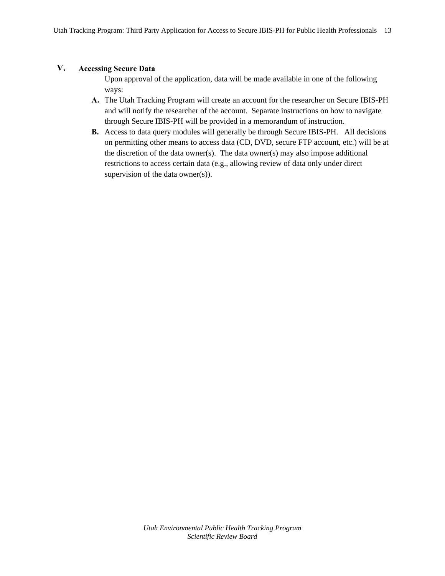#### **V. Accessing Secure Data**

Upon approval of the application, data will be made available in one of the following ways:

- **A.** The Utah Tracking Program will create an account for the researcher on Secure IBIS-PH and will notify the researcher of the account. Separate instructions on how to navigate through Secure IBIS-PH will be provided in a memorandum of instruction.
- **B.** Access to data query modules will generally be through Secure IBIS-PH. All decisions on permitting other means to access data (CD, DVD, secure FTP account, etc.) will be at the discretion of the data owner(s). The data owner(s) may also impose additional restrictions to access certain data (e.g., allowing review of data only under direct supervision of the data owner(s)).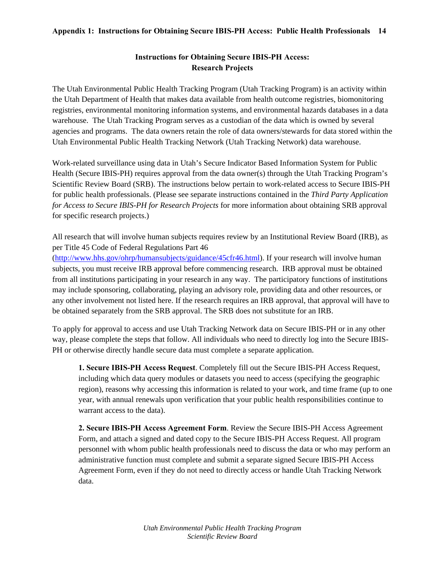#### **Appendix 1: Instructions for Obtaining Secure IBIS-PH Access: Public Health Professionals 14**

# **Instructions for Obtaining Secure IBIS-PH Access: Research Projects**

The Utah Environmental Public Health Tracking Program (Utah Tracking Program) is an activity within the Utah Department of Health that makes data available from health outcome registries, biomonitoring registries, environmental monitoring information systems, and environmental hazards databases in a data warehouse. The Utah Tracking Program serves as a custodian of the data which is owned by several agencies and programs. The data owners retain the role of data owners/stewards for data stored within the Utah Environmental Public Health Tracking Network (Utah Tracking Network) data warehouse.

Work-related surveillance using data in Utah's Secure Indicator Based Information System for Public Health (Secure IBIS-PH) requires approval from the data owner(s) through the Utah Tracking Program's Scientific Review Board (SRB). The instructions below pertain to work-related access to Secure IBIS-PH for public health professionals. (Please see separate instructions contained in the *Third Party Application for Access to Secure IBIS-PH for Research Projects* for more information about obtaining SRB approval for specific research projects.)

All research that will involve human subjects requires review by an Institutional Review Board (IRB), as per Title 45 Code of Federal Regulations Part 46

(http://www.hhs.gov/ohrp/humansubjects/guidance/45cfr46.html). If your research will involve human subjects, you must receive IRB approval before commencing research. IRB approval must be obtained from all institutions participating in your research in any way. The participatory functions of institutions may include sponsoring, collaborating, playing an advisory role, providing data and other resources, or any other involvement not listed here. If the research requires an IRB approval, that approval will have to be obtained separately from the SRB approval. The SRB does not substitute for an IRB.

To apply for approval to access and use Utah Tracking Network data on Secure IBIS-PH or in any other way, please complete the steps that follow. All individuals who need to directly log into the Secure IBIS-PH or otherwise directly handle secure data must complete a separate application.

**1. Secure IBIS-PH Access Request**. Completely fill out the Secure IBIS-PH Access Request, including which data query modules or datasets you need to access (specifying the geographic region), reasons why accessing this information is related to your work, and time frame (up to one year, with annual renewals upon verification that your public health responsibilities continue to warrant access to the data).

**2. Secure IBIS-PH Access Agreement Form**. Review the Secure IBIS-PH Access Agreement Form, and attach a signed and dated copy to the Secure IBIS-PH Access Request. All program personnel with whom public health professionals need to discuss the data or who may perform an administrative function must complete and submit a separate signed Secure IBIS-PH Access Agreement Form, even if they do not need to directly access or handle Utah Tracking Network data.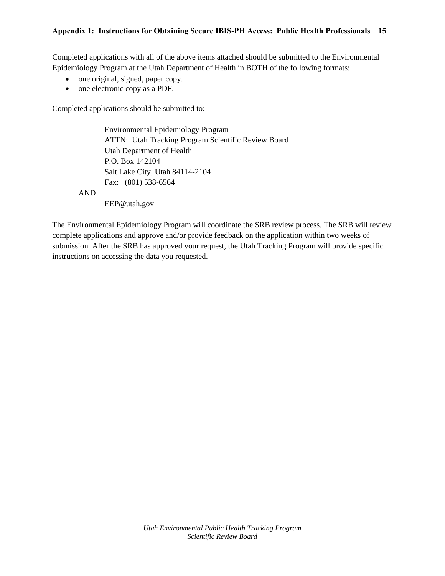#### **Appendix 1: Instructions for Obtaining Secure IBIS-PH Access: Public Health Professionals 15**

Completed applications with all of the above items attached should be submitted to the Environmental Epidemiology Program at the Utah Department of Health in BOTH of the following formats:

- one original, signed, paper copy.
- one electronic copy as a PDF.

Completed applications should be submitted to:

Environmental Epidemiology Program ATTN: Utah Tracking Program Scientific Review Board Utah Department of Health P.O. Box 142104 Salt Lake City, Utah 84114-2104 Fax: (801) 538-6564

AND

EEP@utah.gov

The Environmental Epidemiology Program will coordinate the SRB review process. The SRB will review complete applications and approve and/or provide feedback on the application within two weeks of submission. After the SRB has approved your request, the Utah Tracking Program will provide specific instructions on accessing the data you requested.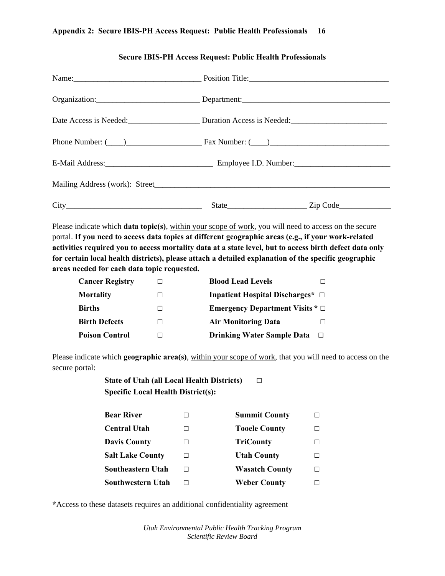#### **Appendix 2: Secure IBIS-PH Access Request: Public Health Professionals 16**

| Organization:________________________________Department:_________________________ |  |
|-----------------------------------------------------------------------------------|--|
| Date Access is Needed: Duration Access is Needed: Duration Access is Needed:      |  |
| Phone Number: $(\_\_)$ Fax Number: $(\_\_)$                                       |  |
|                                                                                   |  |
|                                                                                   |  |
|                                                                                   |  |

#### **Secure IBIS-PH Access Request: Public Health Professionals**

Please indicate which **data topic(s)**, within your scope of work, you will need to access on the secure portal. **If you need to access data topics at different geographic areas (e.g., if your work-related activities required you to access mortality data at a state level, but to access birth defect data only for certain local health districts), please attach a detailed explanation of the specific geographic areas needed for each data topic requested.** 

| <b>Cancer Registry</b> | <b>Blood Lead Levels</b>                    |
|------------------------|---------------------------------------------|
| <b>Mortality</b>       | Inpatient Hospital Discharges* $\Box$       |
| <b>Births</b>          | <b>Emergency Department Visits *</b> $\Box$ |
| <b>Birth Defects</b>   | <b>Air Monitoring Data</b>                  |
| <b>Poison Control</b>  | <b>Drinking Water Sample Data</b><br>П      |

Please indicate which **geographic area(s)**, within your scope of work, that you will need to access on the secure portal:

> **State of Utah (all Local Health Districts) □ Specific Local Health District(s):**

| <b>Bear River</b>       | <b>Summit County</b>  |   |
|-------------------------|-----------------------|---|
| <b>Central Utah</b>     | <b>Tooele County</b>  |   |
| <b>Davis County</b>     | <b>TriCounty</b>      |   |
| <b>Salt Lake County</b> | <b>Utah County</b>    |   |
| Southeastern Utah       | <b>Wasatch County</b> | H |
| Southwestern Utah       | <b>Weber County</b>   |   |

**\***Access to these datasets requires an additional confidentiality agreement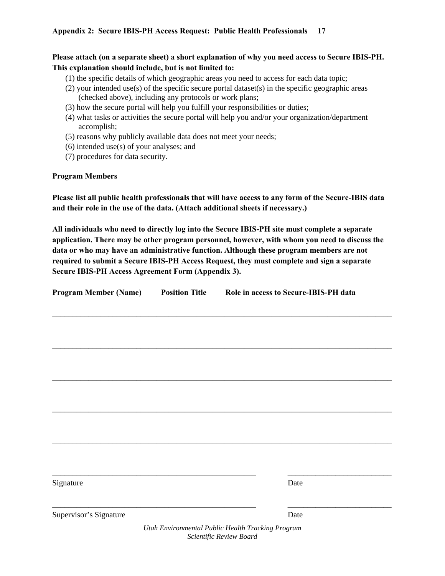**Please attach (on a separate sheet) a short explanation of why you need access to Secure IBIS-PH. This explanation should include, but is not limited to:**

- (1) the specific details of which geographic areas you need to access for each data topic;
- (2) your intended use(s) of the specific secure portal dataset(s) in the specific geographic areas (checked above), including any protocols or work plans;
- (3) how the secure portal will help you fulfill your responsibilities or duties;
- (4) what tasks or activities the secure portal will help you and/or your organization/department accomplish;
- (5) reasons why publicly available data does not meet your needs;
- (6) intended use(s) of your analyses; and
- (7) procedures for data security.

#### **Program Members**

**Please list all public health professionals that will have access to any form of the Secure-IBIS data and their role in the use of the data. (Attach additional sheets if necessary.)** 

**All individuals who need to directly log into the Secure IBIS-PH site must complete a separate application. There may be other program personnel, however, with whom you need to discuss the data or who may have an administrative function. Although these program members are not required to submit a Secure IBIS-PH Access Request, they must complete and sign a separate Secure IBIS-PH Access Agreement Form (Appendix 3).** 

| <b>Program Member (Name)</b> | <b>Position Title</b> | Role in access to Secure-IBIS-PH data             |  |  |
|------------------------------|-----------------------|---------------------------------------------------|--|--|
|                              |                       |                                                   |  |  |
|                              |                       |                                                   |  |  |
|                              |                       |                                                   |  |  |
|                              |                       |                                                   |  |  |
|                              |                       |                                                   |  |  |
|                              |                       |                                                   |  |  |
|                              |                       |                                                   |  |  |
|                              |                       |                                                   |  |  |
|                              |                       |                                                   |  |  |
| Signature                    |                       | Date                                              |  |  |
| Supervisor's Signature       |                       | Date                                              |  |  |
|                              |                       | Utah Environmental Public Health Tracking Program |  |  |

*Scientific Review Board*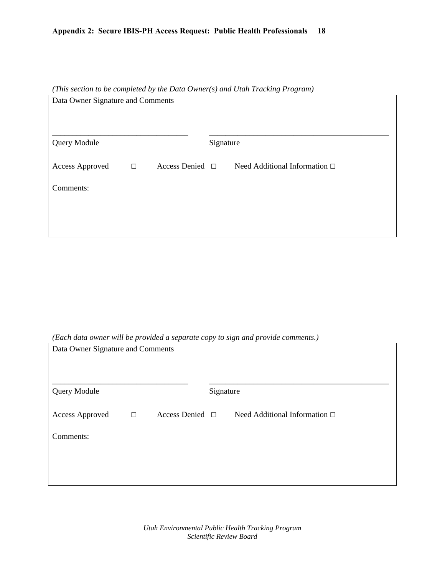# **Appendix 2: Secure IBIS-PH Access Request: Public Health Professionals 18**

| (This section to be completed by the Data Owner(s) and Utah Tracking Program) |        |                      |           |                                    |  |
|-------------------------------------------------------------------------------|--------|----------------------|-----------|------------------------------------|--|
| Data Owner Signature and Comments                                             |        |                      |           |                                    |  |
|                                                                               |        |                      |           |                                    |  |
|                                                                               |        |                      |           |                                    |  |
|                                                                               |        |                      |           |                                    |  |
| Query Module                                                                  |        |                      | Signature |                                    |  |
| Access Approved                                                               | $\Box$ | Access Denied $\Box$ |           | Need Additional Information $\Box$ |  |
| Comments:                                                                     |        |                      |           |                                    |  |
|                                                                               |        |                      |           |                                    |  |
|                                                                               |        |                      |           |                                    |  |
|                                                                               |        |                      |           |                                    |  |

*(Each data owner will be provided a separate copy to sign and provide comments.)* 

| Data Owner Signature and Comments |        |                      |  |                                    |  |
|-----------------------------------|--------|----------------------|--|------------------------------------|--|
| <b>Query Module</b>               |        | Signature            |  |                                    |  |
| <b>Access Approved</b>            | $\Box$ | Access Denied $\Box$ |  | Need Additional Information $\Box$ |  |
| Comments:                         |        |                      |  |                                    |  |
|                                   |        |                      |  |                                    |  |
|                                   |        |                      |  |                                    |  |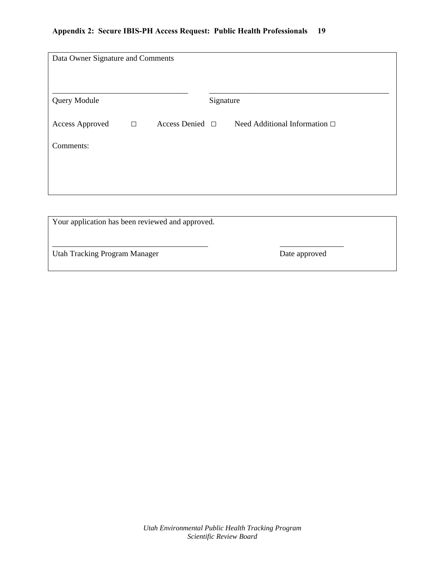| Data Owner Signature and Comments                |        |                      |           |                                    |  |
|--------------------------------------------------|--------|----------------------|-----------|------------------------------------|--|
| Query Module                                     |        |                      | Signature |                                    |  |
| <b>Access Approved</b>                           | $\Box$ | Access Denied $\Box$ |           | Need Additional Information $\Box$ |  |
| Comments:                                        |        |                      |           |                                    |  |
|                                                  |        |                      |           |                                    |  |
|                                                  |        |                      |           |                                    |  |
|                                                  |        |                      |           |                                    |  |
| Your application has been reviewed and approved. |        |                      |           |                                    |  |

Utah Tracking Program Manager Date approved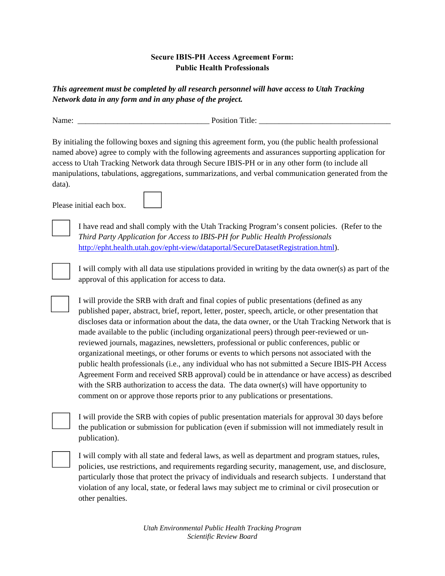# **Secure IBIS-PH Access Agreement Form: Public Health Professionals**

*This agreement must be completed by all research personnel will have access to Utah Tracking Network data in any form and in any phase of the project.*

Name: Title:

By initialing the following boxes and signing this agreement form, you (the public health professional named above) agree to comply with the following agreements and assurances supporting application for access to Utah Tracking Network data through Secure IBIS-PH or in any other form (to include all manipulations, tabulations, aggregations, summarizations, and verbal communication generated from the data).

Please initial each box.



I have read and shall comply with the Utah Tracking Program's consent policies. (Refer to the *Third Party Application for Access to IBIS-PH for Public Health Professionals* http://epht.health.utah.gov/epht-view/dataportal/SecureDatasetRegistration.html).



I will comply with all data use stipulations provided in writing by the data owner(s) as part of the approval of this application for access to data.

 I will provide the SRB with draft and final copies of public presentations (defined as any published paper, abstract, brief, report, letter, poster, speech, article, or other presentation that discloses data or information about the data, the data owner, or the Utah Tracking Network that is made available to the public (including organizational peers) through peer-reviewed or unreviewed journals, magazines, newsletters, professional or public conferences, public or organizational meetings, or other forums or events to which persons not associated with the public health professionals (i.e., any individual who has not submitted a Secure IBIS-PH Access Agreement Form and received SRB approval) could be in attendance or have access) as described with the SRB authorization to access the data. The data owner(s) will have opportunity to comment on or approve those reports prior to any publications or presentations.

I will provide the SRB with copies of public presentation materials for approval 30 days before the publication or submission for publication (even if submission will not immediately result in publication).

 I will comply with all state and federal laws, as well as department and program statues, rules, policies, use restrictions, and requirements regarding security, management, use, and disclosure, particularly those that protect the privacy of individuals and research subjects. I understand that violation of any local, state, or federal laws may subject me to criminal or civil prosecution or other penalties.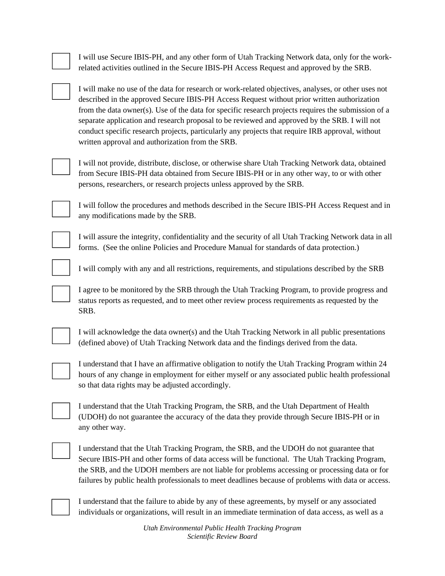I will use Secure IBIS-PH, and any other form of Utah Tracking Network data, only for the workrelated activities outlined in the Secure IBIS-PH Access Request and approved by the SRB.

I will make no use of the data for research or work-related objectives, analyses, or other uses not described in the approved Secure IBIS-PH Access Request without prior written authorization from the data owner(s). Use of the data for specific research projects requires the submission of a separate application and research proposal to be reviewed and approved by the SRB. I will not conduct specific research projects, particularly any projects that require IRB approval, without written approval and authorization from the SRB.



I will not provide, distribute, disclose, or otherwise share Utah Tracking Network data, obtained from Secure IBIS-PH data obtained from Secure IBIS-PH or in any other way, to or with other persons, researchers, or research projects unless approved by the SRB.



I will follow the procedures and methods described in the Secure IBIS-PH Access Request and in any modifications made by the SRB.

I will assure the integrity, confidentiality and the security of all Utah Tracking Network data in all forms. (See the online Policies and Procedure Manual for standards of data protection.)

I will comply with any and all restrictions, requirements, and stipulations described by the SRB

 I agree to be monitored by the SRB through the Utah Tracking Program, to provide progress and status reports as requested, and to meet other review process requirements as requested by the SRB.



 I will acknowledge the data owner(s) and the Utah Tracking Network in all public presentations (defined above) of Utah Tracking Network data and the findings derived from the data.



 I understand that I have an affirmative obligation to notify the Utah Tracking Program within 24 hours of any change in employment for either myself or any associated public health professional so that data rights may be adjusted accordingly.

| I understand that the Utah Tracking Program, the SRB, and the Utah Department of Health    |
|--------------------------------------------------------------------------------------------|
| (UDOH) do not guarantee the accuracy of the data they provide through Secure IBIS-PH or in |
| any other way.                                                                             |



 I understand that the Utah Tracking Program, the SRB, and the UDOH do not guarantee that Secure IBIS-PH and other forms of data access will be functional. The Utah Tracking Program, the SRB, and the UDOH members are not liable for problems accessing or processing data or for failures by public health professionals to meet deadlines because of problems with data or access.



 I understand that the failure to abide by any of these agreements, by myself or any associated individuals or organizations, will result in an immediate termination of data access, as well as a